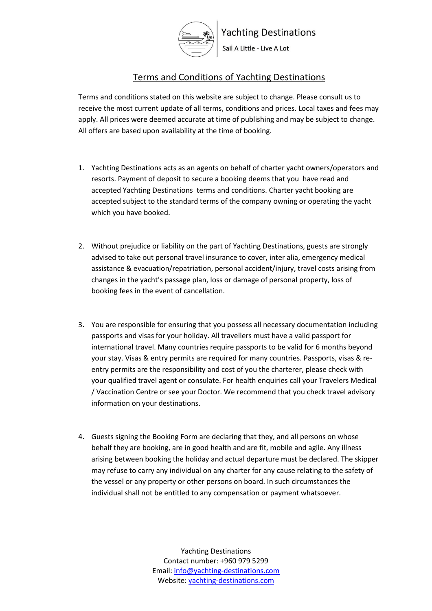

# **Yachting Destinations**

Sail A Little - Live A Lot

# Terms and Conditions of Yachting Destinations

Terms and conditions stated on this website are subject to change. Please consult us to receive the most current update of all terms, conditions and prices. Local taxes and fees may apply. All prices were deemed accurate at time of publishing and may be subject to change. All offers are based upon availability at the time of booking.

- 1. Yachting Destinations acts as an agents on behalf of charter yacht owners/operators and resorts. Payment of deposit to secure a booking deems that you have read and accepted Yachting Destinations terms and conditions. Charter yacht booking are accepted subject to the standard terms of the company owning or operating the yacht which you have booked.
- 2. Without prejudice or liability on the part of Yachting Destinations, guests are strongly advised to take out personal travel insurance to cover, inter alia, emergency medical assistance & evacuation/repatriation, personal accident/injury, travel costs arising from changes in the yacht's passage plan, loss or damage of personal property, loss of booking fees in the event of cancellation.
- 3. You are responsible for ensuring that you possess all necessary documentation including passports and visas for your holiday. All travellers must have a valid passport for international travel. Many countries require passports to be valid for 6 months beyond your stay. Visas & entry permits are required for many countries. Passports, visas & reentry permits are the responsibility and cost of you the charterer, please check with your qualified travel agent or consulate. For health enquiries call your Travelers Medical / Vaccination Centre or see your Doctor. We recommend that you check travel advisory information on your destinations.
- 4. Guests signing the Booking Form are declaring that they, and all persons on whose behalf they are booking, are in good health and are fit, mobile and agile. Any illness arising between booking the holiday and actual departure must be declared. The skipper may refuse to carry any individual on any charter for any cause relating to the safety of the vessel or any property or other persons on board. In such circumstances the individual shall not be entitled to any compensation or payment whatsoever.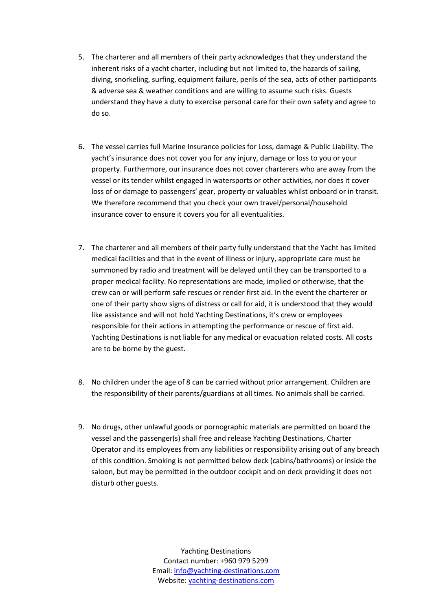- 5. The charterer and all members of their party acknowledges that they understand the inherent risks of a yacht charter, including but not limited to, the hazards of sailing, diving, snorkeling, surfing, equipment failure, perils of the sea, acts of other participants & adverse sea & weather conditions and are willing to assume such risks. Guests understand they have a duty to exercise personal care for their own safety and agree to do so.
- 6. The vessel carries full Marine Insurance policies for Loss, damage & Public Liability. The yacht's insurance does not cover you for any injury, damage or loss to you or your property. Furthermore, our insurance does not cover charterers who are away from the vessel or its tender whilst engaged in watersports or other activities, nor does it cover loss of or damage to passengers' gear, property or valuables whilst onboard or in transit. We therefore recommend that you check your own travel/personal/household insurance cover to ensure it covers you for all eventualities.
- 7. The charterer and all members of their party fully understand that the Yacht has limited medical facilities and that in the event of illness or injury, appropriate care must be summoned by radio and treatment will be delayed until they can be transported to a proper medical facility. No representations are made, implied or otherwise, that the crew can or will perform safe rescues or render first aid. In the event the charterer or one of their party show signs of distress or call for aid, it is understood that they would like assistance and will not hold Yachting Destinations, it's crew or employees responsible for their actions in attempting the performance or rescue of first aid. Yachting Destinations is not liable for any medical or evacuation related costs. All costs are to be borne by the guest.
- 8. No children under the age of 8 can be carried without prior arrangement. Children are the responsibility of their parents/guardians at all times. No animals shall be carried.
- 9. No drugs, other unlawful goods or pornographic materials are permitted on board the vessel and the passenger(s) shall free and release Yachting Destinations, Charter Operator and its employees from any liabilities or responsibility arising out of any breach of this condition. Smoking is not permitted below deck (cabins/bathrooms) or inside the saloon, but may be permitted in the outdoor cockpit and on deck providing it does not disturb other guests.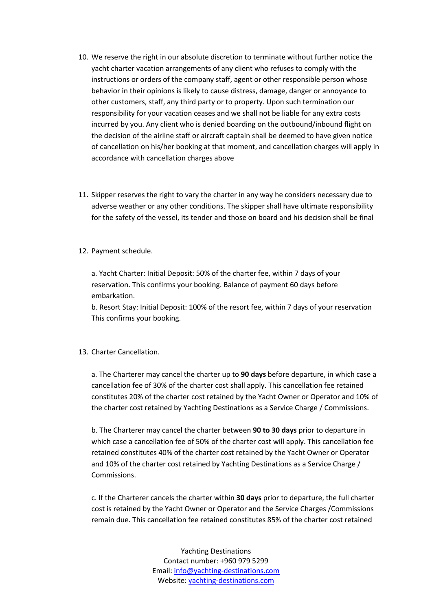- 10. We reserve the right in our absolute discretion to terminate without further notice the yacht charter vacation arrangements of any client who refuses to comply with the instructions or orders of the company staff, agent or other responsible person whose behavior in their opinions is likely to cause distress, damage, danger or annoyance to other customers, staff, any third party or to property. Upon such termination our responsibility for your vacation ceases and we shall not be liable for any extra costs incurred by you. Any client who is denied boarding on the outbound/inbound flight on the decision of the airline staff or aircraft captain shall be deemed to have given notice of cancellation on his/her booking at that moment, and cancellation charges will apply in accordance with cancellation charges above
- 11. Skipper reserves the right to vary the charter in any way he considers necessary due to adverse weather or any other conditions. The skipper shall have ultimate responsibility for the safety of the vessel, its tender and those on board and his decision shall be final
- 12. Payment schedule.

a. Yacht Charter: Initial Deposit: 50% of the charter fee, within 7 days of your reservation. This confirms your booking. Balance of payment 60 days before embarkation.

b. Resort Stay: Initial Deposit: 100% of the resort fee, within 7 days of your reservation This confirms your booking.

## 13. Charter Cancellation.

a. The Charterer may cancel the charter up to **90 days** before departure, in which case a cancellation fee of 30% of the charter cost shall apply. This cancellation fee retained constitutes 20% of the charter cost retained by the Yacht Owner or Operator and 10% of the charter cost retained by Yachting Destinations as a Service Charge / Commissions.

b. The Charterer may cancel the charter between **90 to 30 days** prior to departure in which case a cancellation fee of 50% of the charter cost will apply. This cancellation fee retained constitutes 40% of the charter cost retained by the Yacht Owner or Operator and 10% of the charter cost retained by Yachting Destinations as a Service Charge / Commissions.

c. If the Charterer cancels the charter within **30 days** prior to departure, the full charter cost is retained by the Yacht Owner or Operator and the Service Charges /Commissions remain due. This cancellation fee retained constitutes 85% of the charter cost retained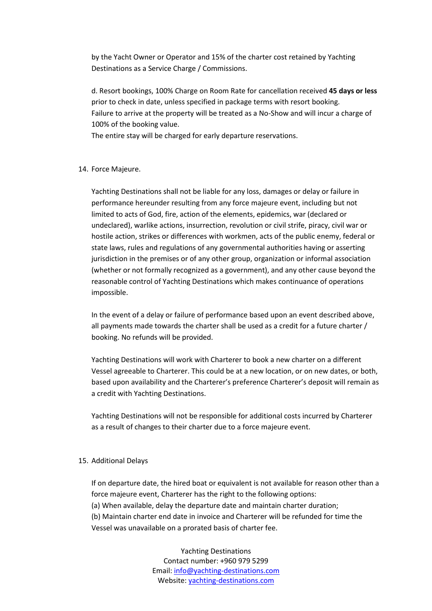by the Yacht Owner or Operator and 15% of the charter cost retained by Yachting Destinations as a Service Charge / Commissions.

d. Resort bookings, 100% Charge on Room Rate for cancellation received **45 days or less** prior to check in date, unless specified in package terms with resort booking. Failure to arrive at the property will be treated as a No-Show and will incur a charge of 100% of the booking value.

The entire stay will be charged for early departure reservations.

### 14. Force Majeure.

Yachting Destinations shall not be liable for any loss, damages or delay or failure in performance hereunder resulting from any force majeure event, including but not limited to acts of God, fire, action of the elements, epidemics, war (declared or undeclared), warlike actions, insurrection, revolution or civil strife, piracy, civil war or hostile action, strikes or differences with workmen, acts of the public enemy, federal or state laws, rules and regulations of any governmental authorities having or asserting jurisdiction in the premises or of any other group, organization or informal association (whether or not formally recognized as a government), and any other cause beyond the reasonable control of Yachting Destinations which makes continuance of operations impossible.

In the event of a delay or failure of performance based upon an event described above, all payments made towards the charter shall be used as a credit for a future charter / booking. No refunds will be provided.

Yachting Destinations will work with Charterer to book a new charter on a different Vessel agreeable to Charterer. This could be at a new location, or on new dates, or both, based upon availability and the Charterer's preference Charterer's deposit will remain as a credit with Yachting Destinations.

Yachting Destinations will not be responsible for additional costs incurred by Charterer as a result of changes to their charter due to a force majeure event.

#### 15. Additional Delays

If on departure date, the hired boat or equivalent is not available for reason other than a force majeure event, Charterer has the right to the following options:

(a) When available, delay the departure date and maintain charter duration;

(b) Maintain charter end date in invoice and Charterer will be refunded for time the

Vessel was unavailable on a prorated basis of charter fee.